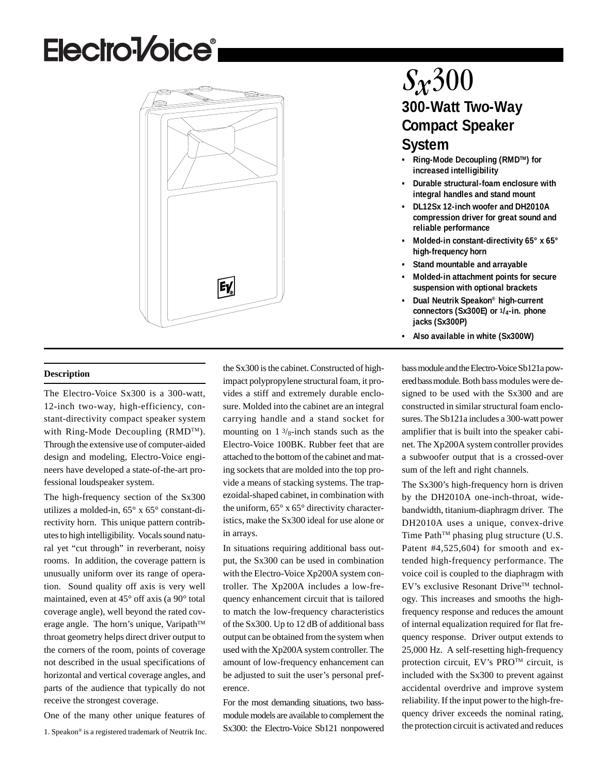# **Electro<sup>1</sup>/oice<sup>®</sup>**



# $S_x300$ **300-Watt Two-Way Compact Speaker System**

- **Ring-Mode Decoupling (RMDTM) for increased intelligibility**
- **Durable structural-foam enclosure with integral handles and stand mount**
- **DL12Sx 12-inch woofer and DH2010A compression driver for great sound and reliable performance**
- **Molded-in constant-directivity 65° x 65° high-frequency horn**
- **Stand mountable and arrayable**
- **Molded-in attachment points for secure suspension with optional brackets**
- **Dual Neutrik Speakon® high-current connectors (Sx300E) or 1/4-in. phone jacks (Sx300P)**
- **Also available in white (Sx300W)**

**Description**

The Electro-Voice Sx300 is a 300-watt, 12-inch two-way, high-efficiency, constant-directivity compact speaker system with Ring-Mode Decoupling (RMDTM). Through the extensive use of computer-aided design and modeling, Electro-Voice engineers have developed a state-of-the-art professional loudspeaker system.

The high-frequency section of the Sx300 utilizes a molded-in, 65° x 65° constant-directivity horn. This unique pattern contributes to high intelligibility. Vocals sound natural yet "cut through" in reverberant, noisy rooms. In addition, the coverage pattern is unusually uniform over its range of operation. Sound quality off axis is very well maintained, even at 45° off axis (a 90° total coverage angle), well beyond the rated coverage angle. The horn's unique, Varipath™ throat geometry helps direct driver output to the corners of the room, points of coverage not described in the usual specifications of horizontal and vertical coverage angles, and parts of the audience that typically do not receive the strongest coverage.

One of the many other unique features of

1. Speakon® is a registered trademark of Neutrik Inc.

the Sx300 is the cabinet. Constructed of highimpact polypropylene structural foam, it provides a stiff and extremely durable enclosure. Molded into the cabinet are an integral carrying handle and a stand socket for mounting on  $1 \frac{3}{8}$ -inch stands such as the Electro-Voice 100BK. Rubber feet that are attached to the bottom of the cabinet and mating sockets that are molded into the top provide a means of stacking systems. The trapezoidal-shaped cabinet, in combination with the uniform, 65° x 65° directivity characteristics, make the Sx300 ideal for use alone or in arrays.

In situations requiring additional bass output, the Sx300 can be used in combination with the Electro-Voice Xp200A system controller. The Xp200A includes a low-frequency enhancement circuit that is tailored to match the low-frequency characteristics of the Sx300. Up to 12 dB of additional bass output can be obtained from the system when used with the Xp200A system controller. The amount of low-frequency enhancement can be adjusted to suit the user's personal preference.

For the most demanding situations, two bassmodule models are available to complement the Sx300: the Electro-Voice Sb121 nonpowered bass module and the Electro-Voice Sb121a powered bass module. Both bass modules were designed to be used with the Sx300 and are constructed in similar structural foam enclosures. The Sb121a includes a 300-watt power amplifier that is built into the speaker cabinet. The Xp200A system controller provides a subwoofer output that is a crossed-over sum of the left and right channels.

The Sx300's high-frequency horn is driven by the DH2010A one-inch-throat, widebandwidth, titanium-diaphragm driver. The DH2010A uses a unique, convex-drive Time Path<sup>TM</sup> phasing plug structure (U.S. Patent #4,525,604) for smooth and extended high-frequency performance. The voice coil is coupled to the diaphragm with EV's exclusive Resonant DriveTM technology. This increases and smooths the highfrequency response and reduces the amount of internal equalization required for flat frequency response. Driver output extends to 25,000 Hz. A self-resetting high-frequency protection circuit, EV's PROTM circuit, is included with the Sx300 to prevent against accidental overdrive and improve system reliability. If the input power to the high-frequency driver exceeds the nominal rating, the protection circuit is activated and reduces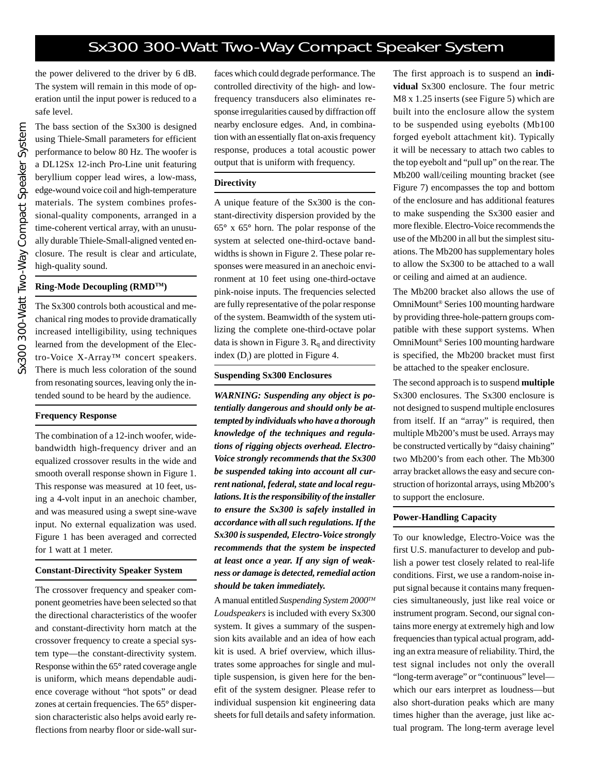the power delivered to the driver by 6 dB. The system will remain in this mode of operation until the input power is reduced to a safe level.

The bass section of the Sx300 is designed using Thiele-Small parameters for efficient performance to below 80 Hz. The woofer is a DL12Sx 12-inch Pro-Line unit featuring beryllium copper lead wires, a low-mass, edge-wound voice coil and high-temperature materials. The system combines professional-quality components, arranged in a time-coherent vertical array, with an unusually durable Thiele-Small-aligned vented enclosure. The result is clear and articulate, high-quality sound.

#### **Ring-Mode Decoupling (RMDTM)**

The Sx300 controls both acoustical and mechanical ring modes to provide dramatically increased intelligibility, using techniques learned from the development of the Electro-Voice X-Array™ concert speakers. There is much less coloration of the sound from resonating sources, leaving only the intended sound to be heard by the audience.

## **Frequency Response**

The combination of a 12-inch woofer, widebandwidth high-frequency driver and an equalized crossover results in the wide and smooth overall response shown in Figure 1. This response was measured at 10 feet, using a 4-volt input in an anechoic chamber, and was measured using a swept sine-wave input. No external equalization was used. Figure 1 has been averaged and corrected for 1 watt at 1 meter.

## **Constant-Directivity Speaker System**

The crossover frequency and speaker component geometries have been selected so that the directional characteristics of the woofer and constant-directivity horn match at the crossover frequency to create a special system type—the constant-directivity system. Response within the 65**°** rated coverage angle is uniform, which means dependable audience coverage without "hot spots" or dead zones at certain frequencies. The 65**°** dispersion characteristic also helps avoid early reflections from nearby floor or side-wall surfaces which could degrade performance. The controlled directivity of the high- and lowfrequency transducers also eliminates response irregularities caused by diffraction off nearby enclosure edges. And, in combination with an essentially flat on-axis frequency response, produces a total acoustic power output that is uniform with frequency.

## **Directivity**

A unique feature of the Sx300 is the constant-directivity dispersion provided by the 65**°** x 65**°** horn. The polar response of the system at selected one-third-octave bandwidths is shown in Figure 2. These polar responses were measured in an anechoic environment at 10 feet using one-third-octave pink-noise inputs. The frequencies selected are fully representative of the polar response of the system. Beamwidth of the system utilizing the complete one-third-octave polar data is shown in Figure 3.  $R_q$  and directivity index  $(D_i)$  are plotted in Figure 4.

#### **Suspending Sx300 Enclosures**

*WARNING: Suspending any object is potentially dangerous and should only be attempted by individuals who have a thorough knowledge of the techniques and regulations of rigging objects overhead. Electro-Voice strongly recommends that the Sx300 be suspended taking into account all current national, federal, state and local regulations. It is the responsibility of the installer to ensure the Sx300 is safely installed in accordance with all such regulations. If the Sx300 is suspended, Electro-Voice strongly recommends that the system be inspected at least once a year. If any sign of weakness or damage is detected, remedial action should be taken immediately.*

A manual entitled *Suspending System 2000TM Loudspeakers* is included with every Sx300 system. It gives a summary of the suspension kits available and an idea of how each kit is used. A brief overview, which illustrates some approaches for single and multiple suspension, is given here for the benefit of the system designer. Please refer to individual suspension kit engineering data sheets for full details and safety information.

The first approach is to suspend an **individual** Sx300 enclosure. The four metric M8 x 1.25 inserts (see Figure 5) which are built into the enclosure allow the system to be suspended using eyebolts (Mb100 forged eyebolt attachment kit). Typically it will be necessary to attach two cables to the top eyebolt and "pull up" on the rear. The Mb200 wall/ceiling mounting bracket (see Figure 7) encompasses the top and bottom of the enclosure and has additional features to make suspending the Sx300 easier and more flexible. Electro-Voice recommends the use of the Mb200 in all but the simplest situations. The Mb200 has supplementary holes to allow the Sx300 to be attached to a wall or ceiling and aimed at an audience.

The Mb200 bracket also allows the use of OmniMount® Series 100 mounting hardware by providing three-hole-pattern groups compatible with these support systems. When OmniMount® Series 100 mounting hardware is specified, the Mb200 bracket must first be attached to the speaker enclosure.

The second approach is to suspend **multiple** Sx300 enclosures. The Sx300 enclosure is not designed to suspend multiple enclosures from itself. If an "array" is required, then multiple Mb200's must be used. Arrays may be constructed vertically by "daisy chaining" two Mb200's from each other. The Mb300 array bracket allows the easy and secure construction of horizontal arrays, using Mb200's to support the enclosure.

## **Power-Handling Capacity**

To our knowledge, Electro-Voice was the first U.S. manufacturer to develop and publish a power test closely related to real-life conditions. First, we use a random-noise input signal because it contains many frequencies simultaneously, just like real voice or instrument program. Second, our signal contains more energy at extremely high and low frequencies than typical actual program, adding an extra measure of reliability. Third, the test signal includes not only the overall "long-term average" or "continuous" level which our ears interpret as loudness—but also short-duration peaks which are many times higher than the average, just like actual program. The long-term average level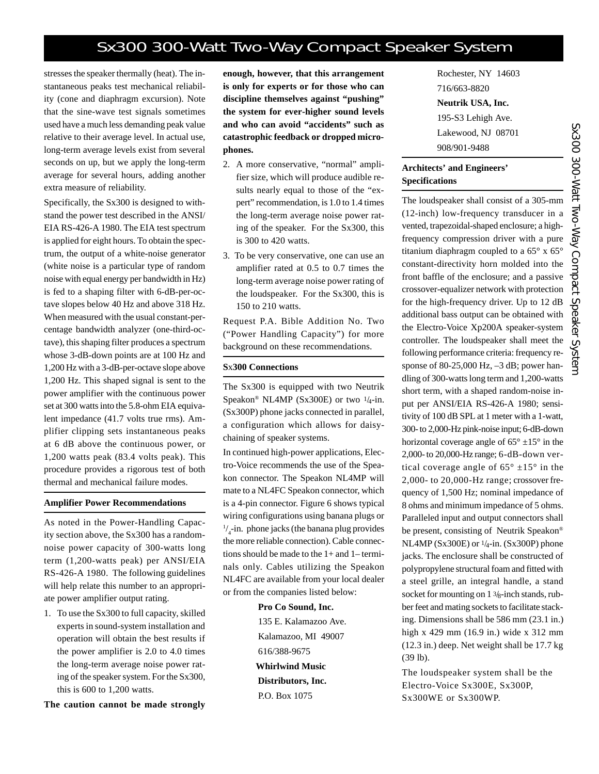stresses the speaker thermally (heat). The instantaneous peaks test mechanical reliability (cone and diaphragm excursion). Note that the sine-wave test signals sometimes used have a much less demanding peak value relative to their average level. In actual use, long-term average levels exist from several seconds on up, but we apply the long-term average for several hours, adding another extra measure of reliability.

Specifically, the Sx300 is designed to withstand the power test described in the ANSI/ EIA RS-426-A 1980. The EIA test spectrum is applied for eight hours. To obtain the spectrum, the output of a white-noise generator (white noise is a particular type of random noise with equal energy per bandwidth in Hz) is fed to a shaping filter with 6-dB-per-octave slopes below 40 Hz and above 318 Hz. When measured with the usual constant-percentage bandwidth analyzer (one-third-octave), this shaping filter produces a spectrum whose 3-dB-down points are at 100 Hz and 1,200 Hz with a 3-dB-per-octave slope above 1,200 Hz. This shaped signal is sent to the power amplifier with the continuous power set at 300 watts into the 5.8-ohm EIA equivalent impedance (41.7 volts true rms). Amplifier clipping sets instantaneous peaks at 6 dB above the continuous power, or 1,200 watts peak (83.4 volts peak). This procedure provides a rigorous test of both thermal and mechanical failure modes.

#### **Amplifier Power Recommendations**

As noted in the Power-Handling Capacity section above, the Sx300 has a randomnoise power capacity of 300-watts long term (1,200-watts peak) per ANSI/EIA RS-426-A 1980. The following guidelines will help relate this number to an appropriate power amplifier output rating.

1. To use the Sx300 to full capacity, skilled experts in sound-system installation and operation will obtain the best results if the power amplifier is 2.0 to 4.0 times the long-term average noise power rating of the speaker system. For the Sx300, this is 600 to 1,200 watts.

**The caution cannot be made strongly**

**enough, however, that this arrangement is only for experts or for those who can discipline themselves against "pushing" the system for ever-higher sound levels and who can avoid "accidents" such as catastrophic feedback or dropped microphones.**

- 2. A more conservative, "normal" amplifier size, which will produce audible results nearly equal to those of the "expert" recommendation, is 1.0 to 1.4 times the long-term average noise power rating of the speaker. For the Sx300, this is 300 to 420 watts.
- 3. To be very conservative, one can use an amplifier rated at 0.5 to 0.7 times the long-term average noise power rating of the loudspeaker. For the Sx300, this is 150 to 210 watts.

Request P.A. Bible Addition No. Two ("Power Handling Capacity") for more background on these recommendations.

### **S**x**300 Connections**

The Sx300 is equipped with two Neutrik Speakon<sup>®</sup> NL4MP (Sx300E) or two  $1/4$ -in. (Sx300P) phone jacks connected in parallel, a configuration which allows for daisychaining of speaker systems.

In continued high-power applications, Electro-Voice recommends the use of the Speakon connector. The Speakon NL4MP will mate to a NL4FC Speakon connector, which is a 4-pin connector. Figure 6 shows typical wiring configurations using banana plugs or  $\frac{1}{4}$ -in. phone jacks (the banana plug provides the more reliable connection). Cable connections should be made to the 1+ and 1– terminals only. Cables utilizing the Speakon NL4FC are available from your local dealer or from the companies listed below:

> **Pro Co Sound, Inc.** 135 E. Kalamazoo Ave. Kalamazoo, MI 49007 616/388-9675 **Whirlwind Music Distributors, Inc.** P.O. Box 1075

Rochester, NY 14603 716/663-8820 **Neutrik USA, Inc.** 195-S3 Lehigh Ave. Lakewood, NJ 08701 908/901-9488

## **Architects' and Engineers' Specifications**

The loudspeaker shall consist of a 305-mm (12-inch) low-frequency transducer in a vented, trapezoidal-shaped enclosure; a highfrequency compression driver with a pure titanium diaphragm coupled to a 65° x 65° constant-directivity horn molded into the front baffle of the enclosure; and a passive crossover-equalizer network with protection for the high-frequency driver. Up to 12 dB additional bass output can be obtained with the Electro-Voice Xp200A speaker-system controller. The loudspeaker shall meet the following performance criteria: frequency response of 80-25,000 Hz, –3 dB; power handling of 300-watts long term and 1,200-watts short term, with a shaped random-noise input per ANSI/EIA RS-426-A 1980; sensitivity of 100 dB SPL at 1 meter with a 1-watt, 300- to 2,000-Hz pink-noise input; 6-dB-down horizontal coverage angle of  $65^{\circ} \pm 15^{\circ}$  in the 2,000- to 20,000-Hz range; 6-dB-down vertical coverage angle of  $65^{\circ}$  ±15° in the 2,000- to 20,000-Hz range; crossover frequency of 1,500 Hz; nominal impedance of 8 ohms and minimum impedance of 5 ohms. Paralleled input and output connectors shall be present, consisting of Neutrik Speakon® NL4MP (Sx300E) or 1/4-in. (Sx300P) phone jacks. The enclosure shall be constructed of polypropylene structural foam and fitted with a steel grille, an integral handle, a stand socket for mounting on  $1\frac{3}{8}$ -inch stands, rubber feet and mating sockets to facilitate stacking. Dimensions shall be 586 mm (23.1 in.) high x 429 mm (16.9 in.) wide x 312 mm (12.3 in.) deep. Net weight shall be 17.7 kg (39 lb).

The loudspeaker system shall be the Electro-Voice Sx300E, Sx300P, Sx300WE or Sx300WP.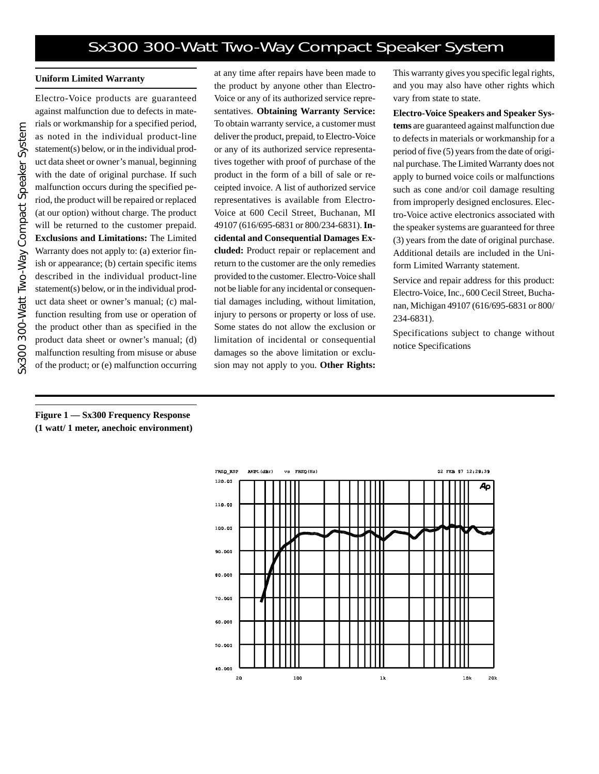## **Uniform Limited Warranty**

Electro-Voice products are guaranteed against malfunction due to defects in materials or workmanship for a specified period, as noted in the individual product-line statement(s) below, or in the individual product data sheet or owner's manual, beginning with the date of original purchase. If such malfunction occurs during the specified period, the product will be repaired or replaced (at our option) without charge. The product will be returned to the customer prepaid. **Exclusions and Limitations:** The Limited Warranty does not apply to: (a) exterior finish or appearance; (b) certain specific items described in the individual product-line statement(s) below, or in the individual product data sheet or owner's manual; (c) malfunction resulting from use or operation of the product other than as specified in the product data sheet or owner's manual; (d) malfunction resulting from misuse or abuse of the product; or (e) malfunction occurring at any time after repairs have been made to the product by anyone other than Electro-Voice or any of its authorized service representatives. **Obtaining Warranty Service:** To obtain warranty service, a customer must deliver the product, prepaid, to Electro-Voice or any of its authorized service representatives together with proof of purchase of the product in the form of a bill of sale or receipted invoice. A list of authorized service representatives is available from Electro-Voice at 600 Cecil Street, Buchanan, MI 49107 (616/695-6831 or 800/234-6831). **Incidental and Consequential Damages Excluded:** Product repair or replacement and return to the customer are the only remedies provided to the customer. Electro-Voice shall not be liable for any incidental or consequential damages including, without limitation, injury to persons or property or loss of use. Some states do not allow the exclusion or limitation of incidental or consequential damages so the above limitation or exclusion may not apply to you. **Other Rights:**

This warranty gives you specific legal rights, and you may also have other rights which vary from state to state.

**Electro-Voice Speakers and Speaker Systems** are guaranteed against malfunction due to defects in materials or workmanship for a period of five (5) years from the date of original purchase. The Limited Warranty does not apply to burned voice coils or malfunctions such as cone and/or coil damage resulting from improperly designed enclosures. Electro-Voice active electronics associated with the speaker systems are guaranteed for three (3) years from the date of original purchase. Additional details are included in the Uniform Limited Warranty statement.

Service and repair address for this product: Electro-Voice, Inc., 600 Cecil Street, Buchanan, Michigan 49107 (616/695-6831 or 800/ 234-6831).

Specifications subject to change without notice Specifications

**Figure 1 — Sx300 Frequency Response (1 watt/ 1 meter, anechoic environment)**

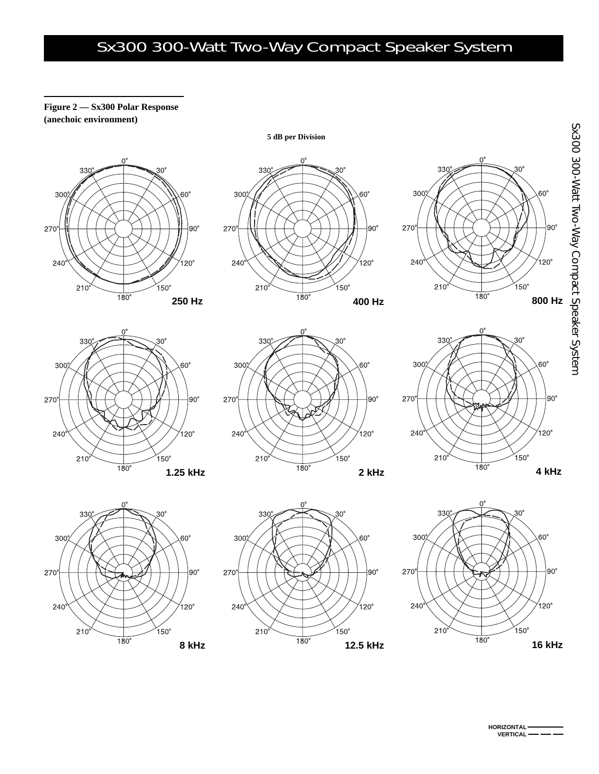**5 dB per Division**

## **Figure 2 — Sx300 Polar Response (anechoic environment)**



















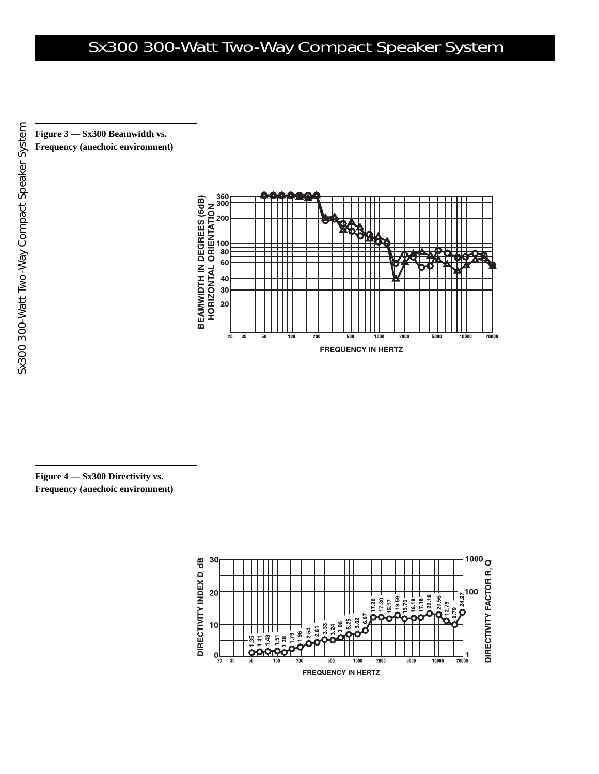**Figure 3 — Sx300 Beamwidth vs. Frequency (anechoic environment)**



**Figure 4 — Sx300 Directivity vs. Frequency (anechoic environment)**

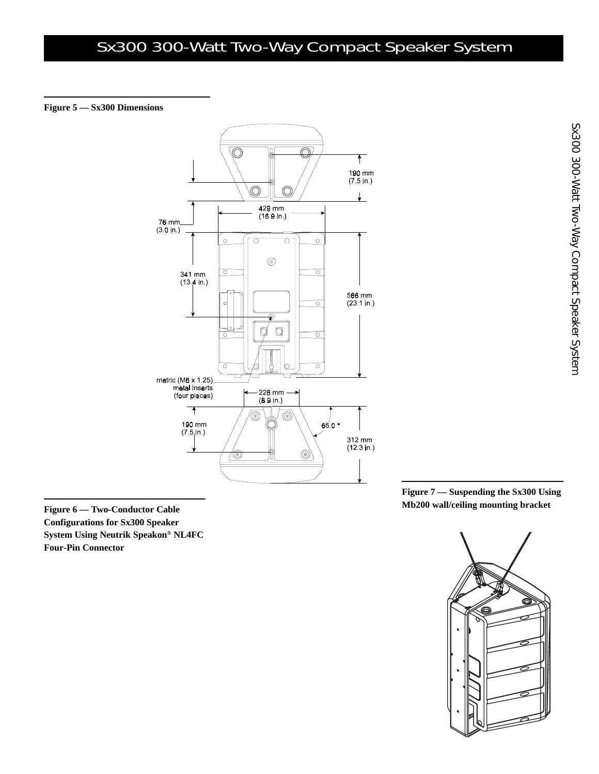## **Figure 5 — Sx300 Dimensions**



**Configurations for Sx300 Speaker System Using Neutrik Speakon® NL4FC Four-Pin Connector**

**Figure 7 — Suspending the Sx300 Using Mb200 wall/ceiling mounting bracket Figure 6 — Two-Conductor Cable**

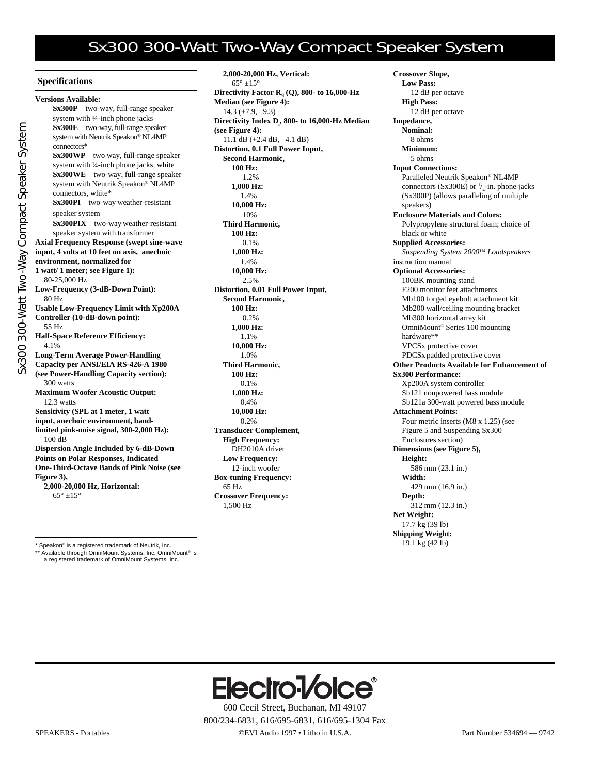#### **Specifications**

Sx300 300-Watt Two-Way Compact Speaker System

Sx300 300-Watt Two-Way Compact Speaker System

| <b>Versions Available:</b>                          |
|-----------------------------------------------------|
| Sx300P-two-way, full-range speaker                  |
| system with 1/4-inch phone jacks                    |
| Sx300E-two-way, full-range speaker                  |
| system with Neutrik Speakon® NL4MP                  |
| connectors*                                         |
| Sx300WP-two way, full-range speaker                 |
| system with 1/4-inch phone jacks, white             |
| Sx300WE-two-way, full-range speaker                 |
| system with Neutrik Speakon® NL4MP                  |
| connectors, white*                                  |
| Sx300PI-two-way weather-resistant                   |
| speaker system                                      |
| Sx300PIX-two-way weather-resistant                  |
| speaker system with transformer                     |
| <b>Axial Frequency Response (swept sine-wave</b>    |
| input, 4 volts at 10 feet on axis, anechoic         |
| environment, normalized for                         |
| 1 watt/ 1 meter; see Figure 1):                     |
| 80-25,000 Hz                                        |
| Low-Frequency (3-dB-Down Point):                    |
| 80 Hz                                               |
| <b>Usable Low-Frequency Limit with Xp200A</b>       |
| Controller (10-dB-down point):                      |
| 55 Hz                                               |
| <b>Half-Space Reference Efficiency:</b>             |
| 4.1%                                                |
| <b>Long-Term Average Power-Handling</b>             |
| Capacity per ANSI/EIA RS-426-A 1980                 |
| (see Power-Handling Capacity section):              |
| 300 watts                                           |
| <b>Maximum Woofer Acoustic Output:</b>              |
| 12.3 watts                                          |
| Sensitivity (SPL at 1 meter, 1 watt                 |
| input, anechoic environment, band-                  |
| limited pink-noise signal, 300-2,000 Hz):<br>100 dB |
| <b>Dispersion Angle Included by 6-dB-Down</b>       |
| <b>Points on Polar Responses, Indicated</b>         |
| <b>One-Third-Octave Bands of Pink Noise (see</b>    |
| Figure 3),                                          |
| 2,000-20,000 Hz, Horizontal:                        |
| $65^{\circ} + 15^{\circ}$                           |
|                                                     |

**2,000-20,000 Hz, Vertical:**  $65^{\circ} + 15^{\circ}$ **Directivity Factor Rq (Q), 800- to 16,000-Hz Median (see Figure 4):**  $14.3 (+7.9, -9.3)$ **Directivity Index Di , 800- to 16,000-Hz Median (see Figure 4):** 11.1 dB (+2.4 dB, –4.1 dB) **Distortion, 0.1 Full Power Input, Second Harmonic, 100 Hz:** 1.2% **1,000 Hz:** 1.4% **10,000 Hz:** 10% **Third Harmonic, 100 Hz:** 0.1% **1,000 Hz:** 1.4% **10,000 Hz:** 2.5% **Distortion, 0.01 Full Power Input, Second Harmonic, 100 Hz:** 0.2% **1,000 Hz:** 1.1% **10,000 Hz:** 1.0% **Third Harmonic, 100 Hz:** 0.1% **1,000 Hz:** 0.4% **10,000 Hz:** 0.2% **Transducer Complement, High Frequency:** DH2010A driver **Low Frequency:** 12-inch woofer **Box-tuning Frequency:** 65 Hz **Crossover Frequency:** 1,500 Hz

**Crossover Slope, Low Pass:** 12 dB per octave **High Pass:** 12 dB per octave **Impedance, Nominal:** 8 ohms **Minimum:** 5 ohms **Input Connections:** Paralleled Neutrik Speakon® NL4MP connectors (Sx300E) or  $\frac{1}{4}$ -in. phone jacks (Sx300P) (allows paralleling of multiple speakers) **Enclosure Materials and Colors:** Polypropylene structural foam; choice of black or white **Supplied Accessories:** *Suspending System 2000TM Loudspeakers* instruction manual **Optional Accessories:** 100BK mounting stand F200 monitor feet attachments Mb100 forged eyebolt attachment kit Mb200 wall/ceiling mounting bracket Mb300 horizontal array kit OmniMount® Series 100 mounting hardware\*\* VPCSx protective cover PDCSx padded protective cover **Other Products Available for Enhancement of Sx300 Performance:** Xp200A system controller Sb121 nonpowered bass module Sb121a 300-watt powered bass module **Attachment Points:** Four metric inserts (M8 x 1.25) (see Figure 5 and Suspending Sx300 Enclosures section) **Dimensions (see Figure 5), Height:** 586 mm (23.1 in.) **Width:** 429 mm (16.9 in.) **Depth:** 312 mm (12.3 in.) **Net Weight:** 17.7 kg (39 lb) **Shipping Weight:**

19.1 kg (42 lb) \* Speakon® is a registered trademark of Neutrik, Inc.

\*\* Available through OmniMount Systems, Inc. OmniMount® is a registered trademark of OmniMount Systems, Inc.



600 Cecil Street, Buchanan, MI 49107 800/234-6831, 616/695-6831, 616/695-1304 Fax